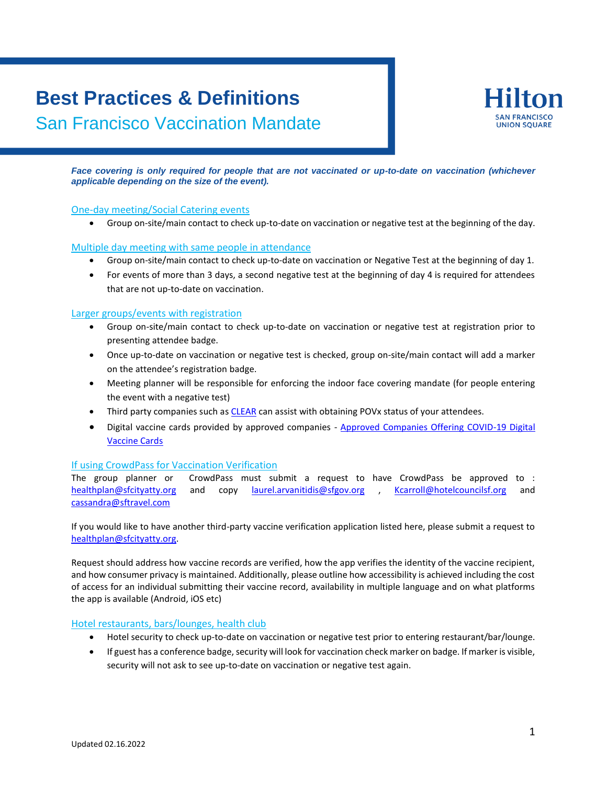# **Best Practices & Definitions**

San Francisco Vaccination Mandate



*Face covering is only required for people that are not vaccinated or up-to-date on vaccination (whichever applicable depending on the size of the event).*

### One-day meeting/Social Catering events

Group on-site/main contact to check up-to-date on vaccination or negative test at the beginning of the day.

### Multiple day meeting with same people in attendance

- Group on-site/main contact to check up-to-date on vaccination or Negative Test at the beginning of day 1.
- For events of more than 3 days, a second negative test at the beginning of day 4 is required for attendees that are not up-to-date on vaccination.

## Larger groups/events with registration

- Group on-site/main contact to check up-to-date on vaccination or negative test at registration prior to presenting attendee badge.
- Once up-to-date on vaccination or negative test is checked, group on-site/main contact will add a marker on the attendee's registration badge.
- Meeting planner will be responsible for enforcing the indoor face covering mandate (for people entering the event with a negative test)
- Third party companies such as [CLEAR](https://www.clearme.com/vaccine-validation) can assist with obtaining POVx status of your attendees.
- Digital vaccine cards provided by approved companies [Approved Companies Offering COVID-19 Digital](https://www.sfdph.org/dph/alerts/files/vaccine-verification-sites.asp)  [Vaccine Cards](https://www.sfdph.org/dph/alerts/files/vaccine-verification-sites.asp)

### If using CrowdPass for Vaccination Verification

The group planner or CrowdPass must submit a request to have CrowdPass be approved to : [healthplan@sfcityatty.org](mailto:healthplan@sfcityatty.org) and copy [laurel.arvanitidis@sfgov.org](mailto:laurel.arvanitidis@sfgov.org) , [Kcarroll@hotelcouncilsf.org](mailto:Kcarroll@hotelcouncilsf.org) and [cassandra@sftravel.com](mailto:cassandra@sftravel.com)

If you would like to have another third-party vaccine verification application listed here, please submit a request to [healthplan@sfcityatty.org.](mailto:healthplan@sfcityatty.org)

Request should address how vaccine records are verified, how the app verifies the identity of the vaccine recipient, and how consumer privacy is maintained. Additionally, please outline how accessibility is achieved including the cost of access for an individual submitting their vaccine record, availability in multiple language and on what platforms the app is available (Android, iOS etc)

### Hotel restaurants, bars/lounges, health club

- Hotel security to check up-to-date on vaccination or negative test prior to entering restaurant/bar/lounge.
- If guest has a conference badge, security will look for vaccination check marker on badge. If marker is visible, security will not ask to see up-to-date on vaccination or negative test again.